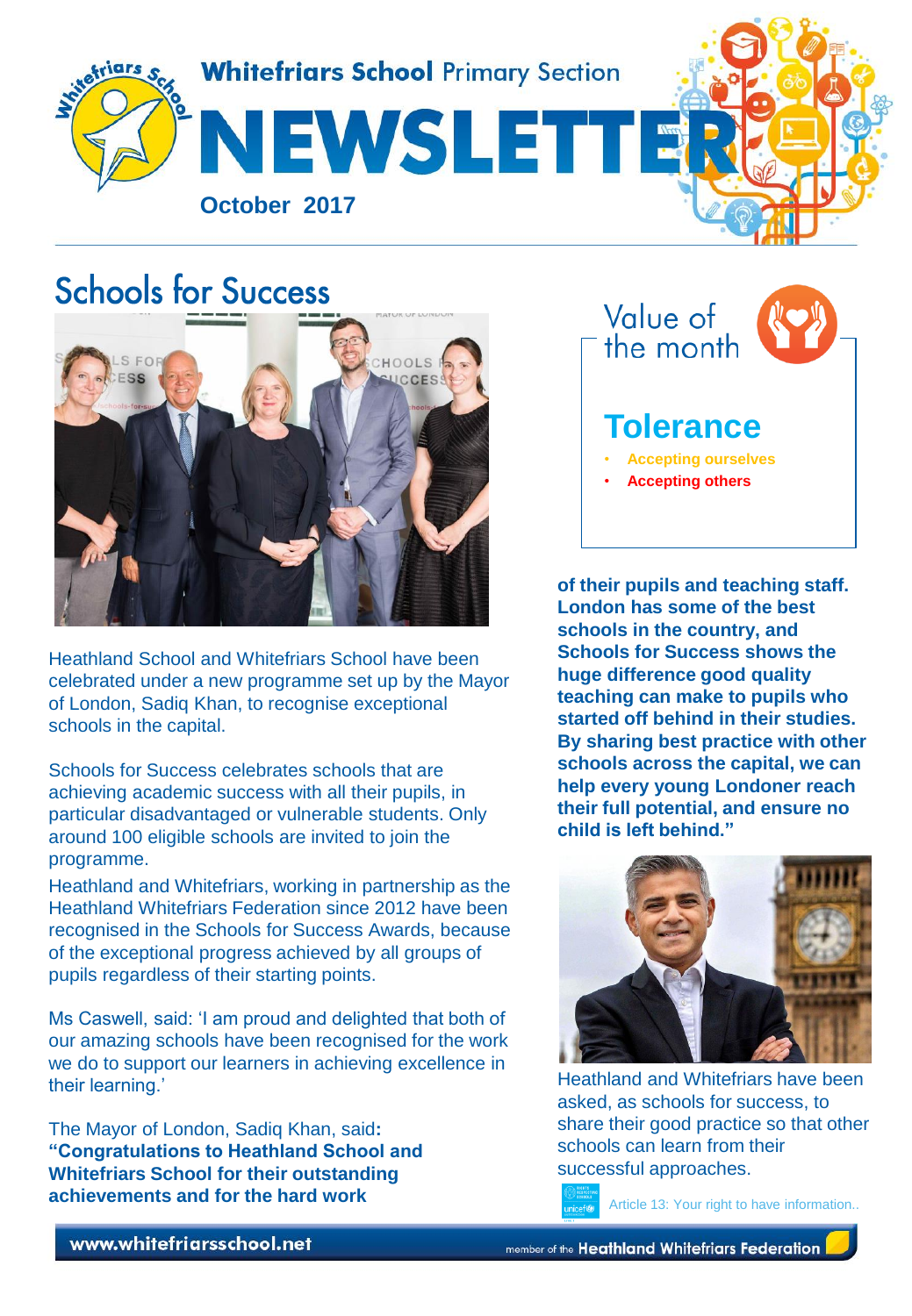

## **Schools for Success**



Heathland School and Whitefriars School have been celebrated under a new programme set up by the Mayor of London, Sadiq Khan, to recognise exceptional schools in the capital.

Schools for Success celebrates schools that are achieving academic success with all their pupils, in particular disadvantaged or vulnerable students. Only around 100 eligible schools are invited to join the programme.

Heathland and Whitefriars, working in partnership as the Heathland Whitefriars Federation since 2012 have been recognised in the Schools for Success Awards, because of the exceptional progress achieved by all groups of pupils regardless of their starting points.

Ms Caswell, said: 'I am proud and delighted that both of our amazing schools have been recognised for the work we do to support our learners in achieving excellence in their learning.'

The Mayor of London, Sadiq Khan, said**: "Congratulations to Heathland School and Whitefriars School for their outstanding achievements and for the hard work** 

Value of the month **Tolerance** • **Accepting ourselves**  • **Accepting others** 

**of their pupils and teaching staff. London has some of the best schools in the country, and Schools for Success shows the huge difference good quality teaching can make to pupils who started off behind in their studies. By sharing best practice with other schools across the capital, we can help every young Londoner reach their full potential, and ensure no child is left behind."**



Heathland and Whitefriars have been asked, as schools for success, to share their good practice so that other schools can learn from their successful approaches.

Article 13: Your right to have information..

www.whitefriarsschool.net

member of the Heathland Whitefriars Federation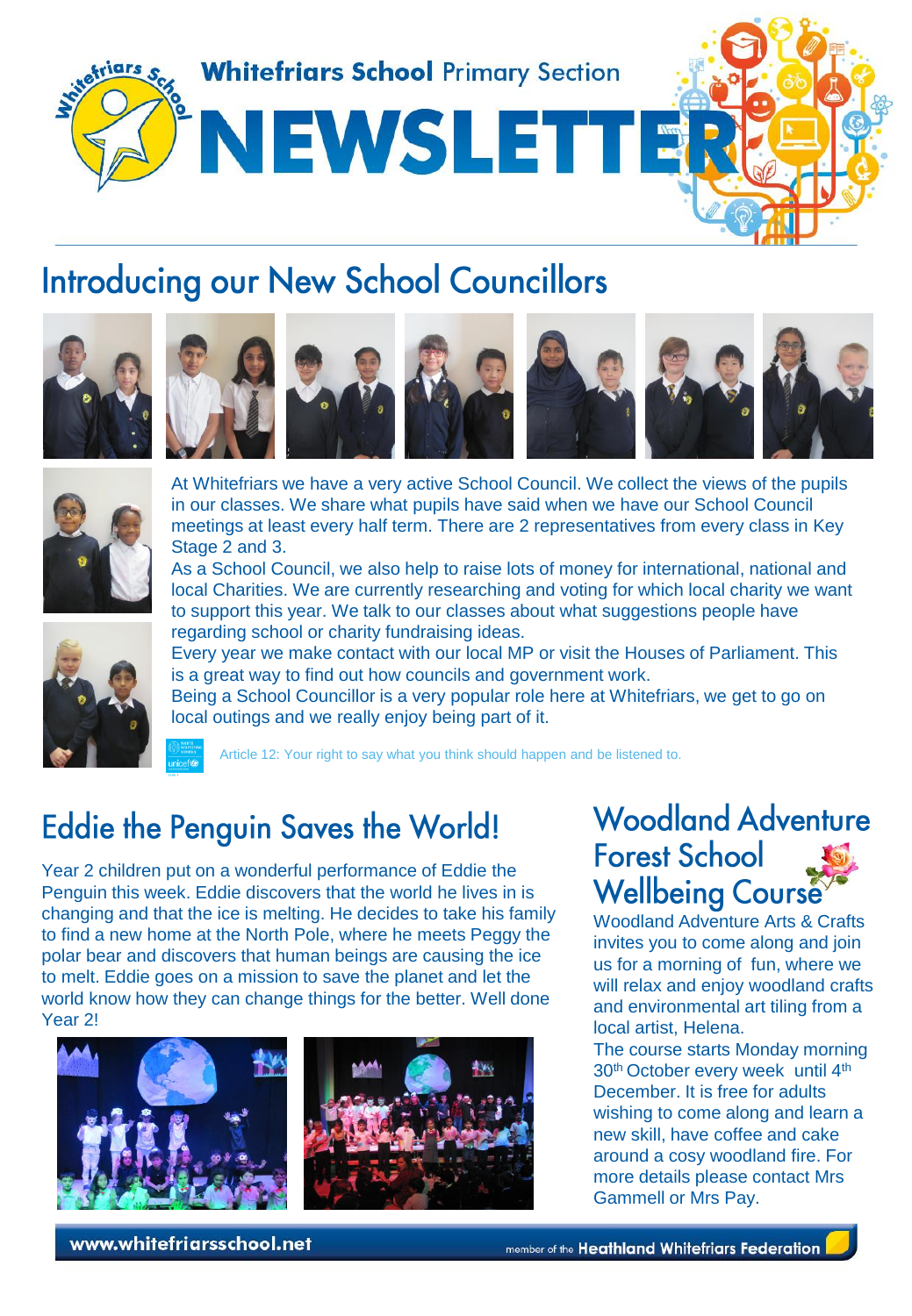

# **Introducing our New School Councillors**















At Whitefriars we have a very active School Council. We collect the views of the pupils in our classes. We share what pupils have said when we have our School Council meetings at least every half term. There are 2 representatives from every class in Key Stage 2 and 3.

As a School Council, we also help to raise lots of money for international, national and local Charities. We are currently researching and voting for which local charity we want to support this year. We talk to our classes about what suggestions people have regarding school or charity fundraising ideas.



Every year we make contact with our local MP or visit the Houses of Parliament. This is a great way to find out how councils and government work.

Being a School Councillor is a very popular role here at Whitefriars, we get to go on local outings and we really enjoy being part of it.

Article 12: Your right to say what you think should happen and be listened to.

#### **Eddie the Penguin Saves the World!**

Year 2 children put on a wonderful performance of Eddie the Penguin this week. Eddie discovers that the world he lives in is changing and that the ice is melting. He decides to take his family to find a new home at the North Pole, where he meets Peggy the polar bear and discovers that human beings are causing the ice to melt. Eddie goes on a mission to save the planet and let the world know how they can change things for the better. Well done Year 2!



### **Woodland Adventure Forest School Wellbeing Course**

Woodland Adventure Arts & Crafts invites you to come along and join us for a morning of fun, where we will relax and enjoy woodland crafts and environmental art tiling from a local artist, Helena.

The course starts Monday morning 30th October every week until 4th December. It is free for adults wishing to come along and learn a new skill, have coffee and cake around a cosy woodland fire. For more details please contact Mrs Gammell or Mrs Pay.

www.whitefriarsschool.net